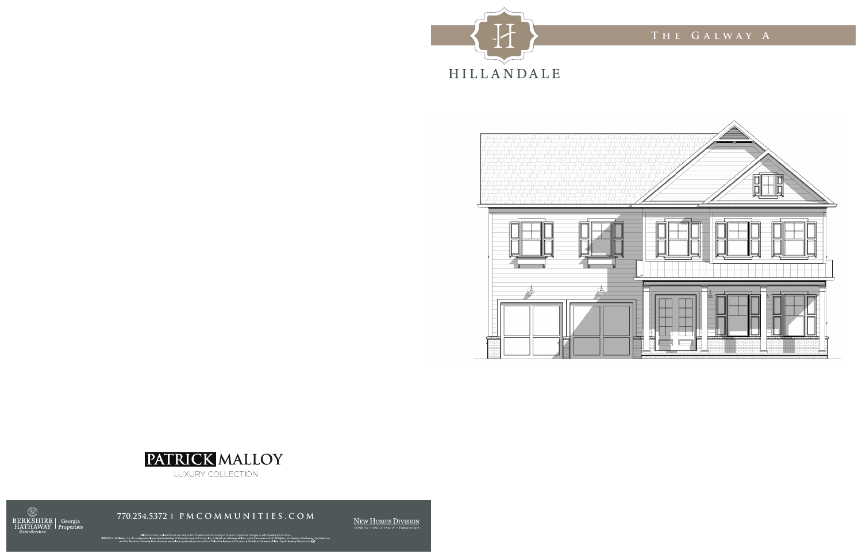







NEW HOMES DIVISION

All information is believed to be accurate but is not warranted and is subject to errors, omissions, changes or withdrawal without notice.<br>Independently operated subsidiary of HomeService of America, he, a Berkshie Hathawa